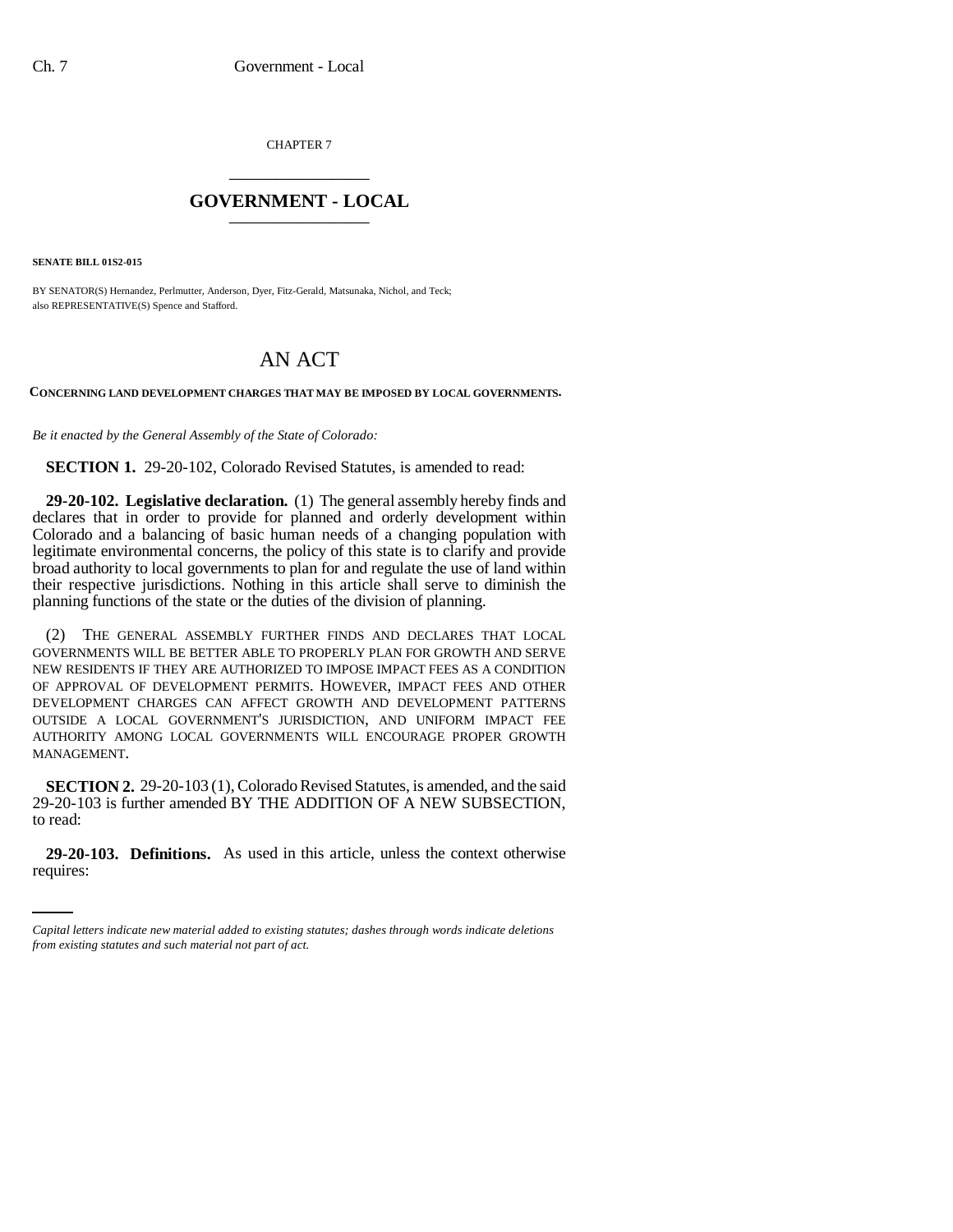CHAPTER 7 \_\_\_\_\_\_\_\_\_\_\_\_\_\_\_

## **GOVERNMENT - LOCAL** \_\_\_\_\_\_\_\_\_\_\_\_\_\_\_

**SENATE BILL 01S2-015**

BY SENATOR(S) Hernandez, Perlmutter, Anderson, Dyer, Fitz-Gerald, Matsunaka, Nichol, and Teck; also REPRESENTATIVE(S) Spence and Stafford.

## AN ACT

**CONCERNING LAND DEVELOPMENT CHARGES THAT MAY BE IMPOSED BY LOCAL GOVERNMENTS.**

*Be it enacted by the General Assembly of the State of Colorado:*

**SECTION 1.** 29-20-102, Colorado Revised Statutes, is amended to read:

**29-20-102. Legislative declaration.** (1) The general assembly hereby finds and declares that in order to provide for planned and orderly development within Colorado and a balancing of basic human needs of a changing population with legitimate environmental concerns, the policy of this state is to clarify and provide broad authority to local governments to plan for and regulate the use of land within their respective jurisdictions. Nothing in this article shall serve to diminish the planning functions of the state or the duties of the division of planning.

(2) THE GENERAL ASSEMBLY FURTHER FINDS AND DECLARES THAT LOCAL GOVERNMENTS WILL BE BETTER ABLE TO PROPERLY PLAN FOR GROWTH AND SERVE NEW RESIDENTS IF THEY ARE AUTHORIZED TO IMPOSE IMPACT FEES AS A CONDITION OF APPROVAL OF DEVELOPMENT PERMITS. HOWEVER, IMPACT FEES AND OTHER DEVELOPMENT CHARGES CAN AFFECT GROWTH AND DEVELOPMENT PATTERNS OUTSIDE A LOCAL GOVERNMENT'S JURISDICTION, AND UNIFORM IMPACT FEE AUTHORITY AMONG LOCAL GOVERNMENTS WILL ENCOURAGE PROPER GROWTH MANAGEMENT.

 $\frac{1}{2}$ **SECTION 2.** 29-20-103 (1), Colorado Revised Statutes, is amended, and the said 29-20-103 is further amended BY THE ADDITION OF A NEW SUBSECTION, to read:

**29-20-103. Definitions.** As used in this article, unless the context otherwise requires:

*Capital letters indicate new material added to existing statutes; dashes through words indicate deletions from existing statutes and such material not part of act.*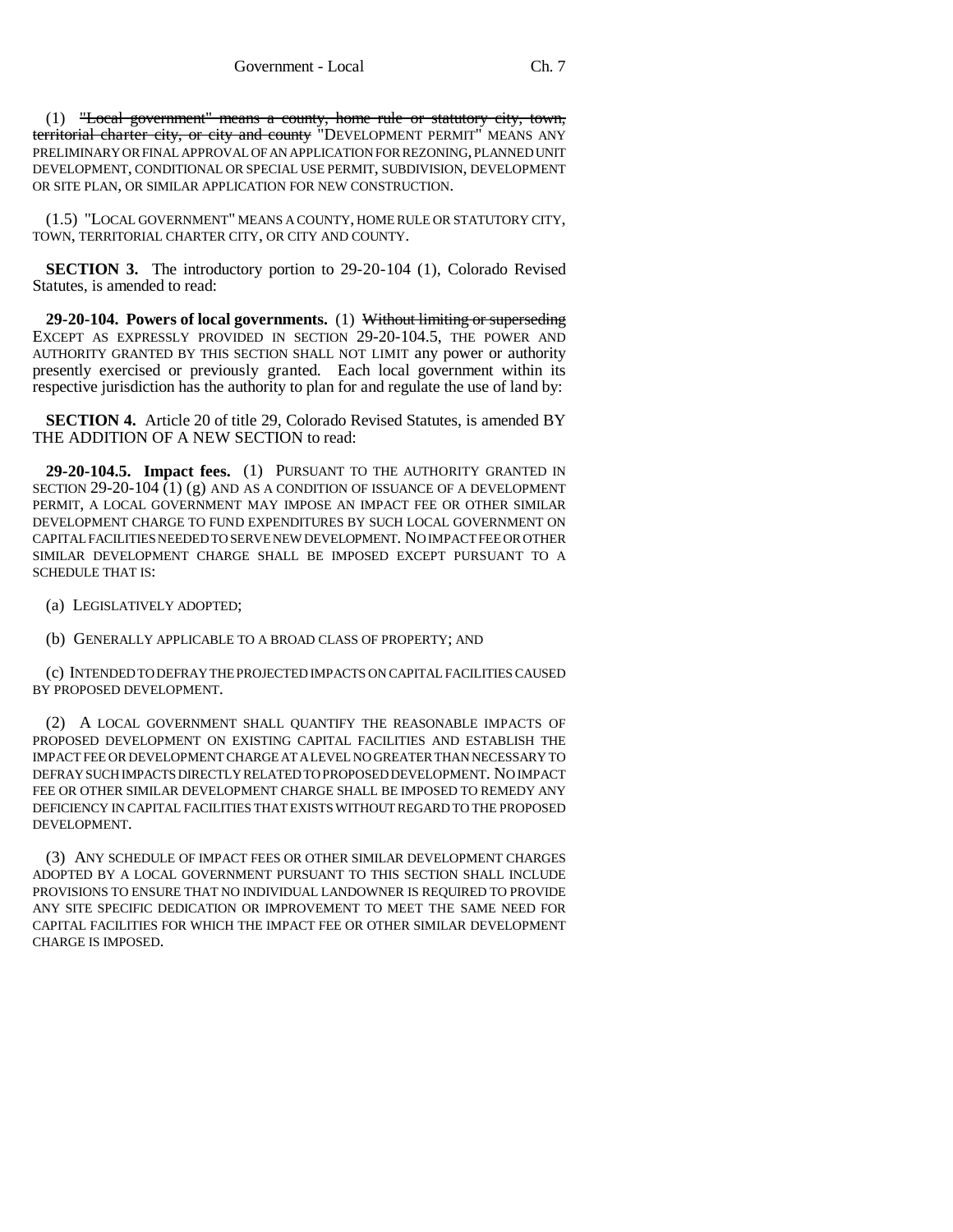(1) "Local government" means a county, home rule or statutory city, town, territorial charter city, or city and county "DEVELOPMENT PERMIT" MEANS ANY PRELIMINARY OR FINAL APPROVAL OF AN APPLICATION FOR REZONING, PLANNED UNIT DEVELOPMENT, CONDITIONAL OR SPECIAL USE PERMIT, SUBDIVISION, DEVELOPMENT OR SITE PLAN, OR SIMILAR APPLICATION FOR NEW CONSTRUCTION.

(1.5) "LOCAL GOVERNMENT" MEANS A COUNTY, HOME RULE OR STATUTORY CITY, TOWN, TERRITORIAL CHARTER CITY, OR CITY AND COUNTY.

**SECTION 3.** The introductory portion to 29-20-104 (1), Colorado Revised Statutes, is amended to read:

**29-20-104. Powers of local governments.** (1) Without limiting or superseding EXCEPT AS EXPRESSLY PROVIDED IN SECTION 29-20-104.5, THE POWER AND AUTHORITY GRANTED BY THIS SECTION SHALL NOT LIMIT any power or authority presently exercised or previously granted. Each local government within its respective jurisdiction has the authority to plan for and regulate the use of land by:

**SECTION 4.** Article 20 of title 29, Colorado Revised Statutes, is amended BY THE ADDITION OF A NEW SECTION to read:

**29-20-104.5. Impact fees.** (1) PURSUANT TO THE AUTHORITY GRANTED IN SECTION 29-20-104  $(1)$  (g) AND AS A CONDITION OF ISSUANCE OF A DEVELOPMENT PERMIT, A LOCAL GOVERNMENT MAY IMPOSE AN IMPACT FEE OR OTHER SIMILAR DEVELOPMENT CHARGE TO FUND EXPENDITURES BY SUCH LOCAL GOVERNMENT ON CAPITAL FACILITIES NEEDED TO SERVE NEW DEVELOPMENT. NO IMPACT FEE OR OTHER SIMILAR DEVELOPMENT CHARGE SHALL BE IMPOSED EXCEPT PURSUANT TO A SCHEDULE THAT IS:

(a) LEGISLATIVELY ADOPTED;

(b) GENERALLY APPLICABLE TO A BROAD CLASS OF PROPERTY; AND

(c) INTENDED TO DEFRAY THE PROJECTED IMPACTS ON CAPITAL FACILITIES CAUSED BY PROPOSED DEVELOPMENT.

(2) A LOCAL GOVERNMENT SHALL QUANTIFY THE REASONABLE IMPACTS OF PROPOSED DEVELOPMENT ON EXISTING CAPITAL FACILITIES AND ESTABLISH THE IMPACT FEE OR DEVELOPMENT CHARGE AT A LEVEL NO GREATER THAN NECESSARY TO DEFRAY SUCH IMPACTS DIRECTLY RELATED TO PROPOSED DEVELOPMENT. NO IMPACT FEE OR OTHER SIMILAR DEVELOPMENT CHARGE SHALL BE IMPOSED TO REMEDY ANY DEFICIENCY IN CAPITAL FACILITIES THAT EXISTS WITHOUT REGARD TO THE PROPOSED DEVELOPMENT.

(3) ANY SCHEDULE OF IMPACT FEES OR OTHER SIMILAR DEVELOPMENT CHARGES ADOPTED BY A LOCAL GOVERNMENT PURSUANT TO THIS SECTION SHALL INCLUDE PROVISIONS TO ENSURE THAT NO INDIVIDUAL LANDOWNER IS REQUIRED TO PROVIDE ANY SITE SPECIFIC DEDICATION OR IMPROVEMENT TO MEET THE SAME NEED FOR CAPITAL FACILITIES FOR WHICH THE IMPACT FEE OR OTHER SIMILAR DEVELOPMENT CHARGE IS IMPOSED.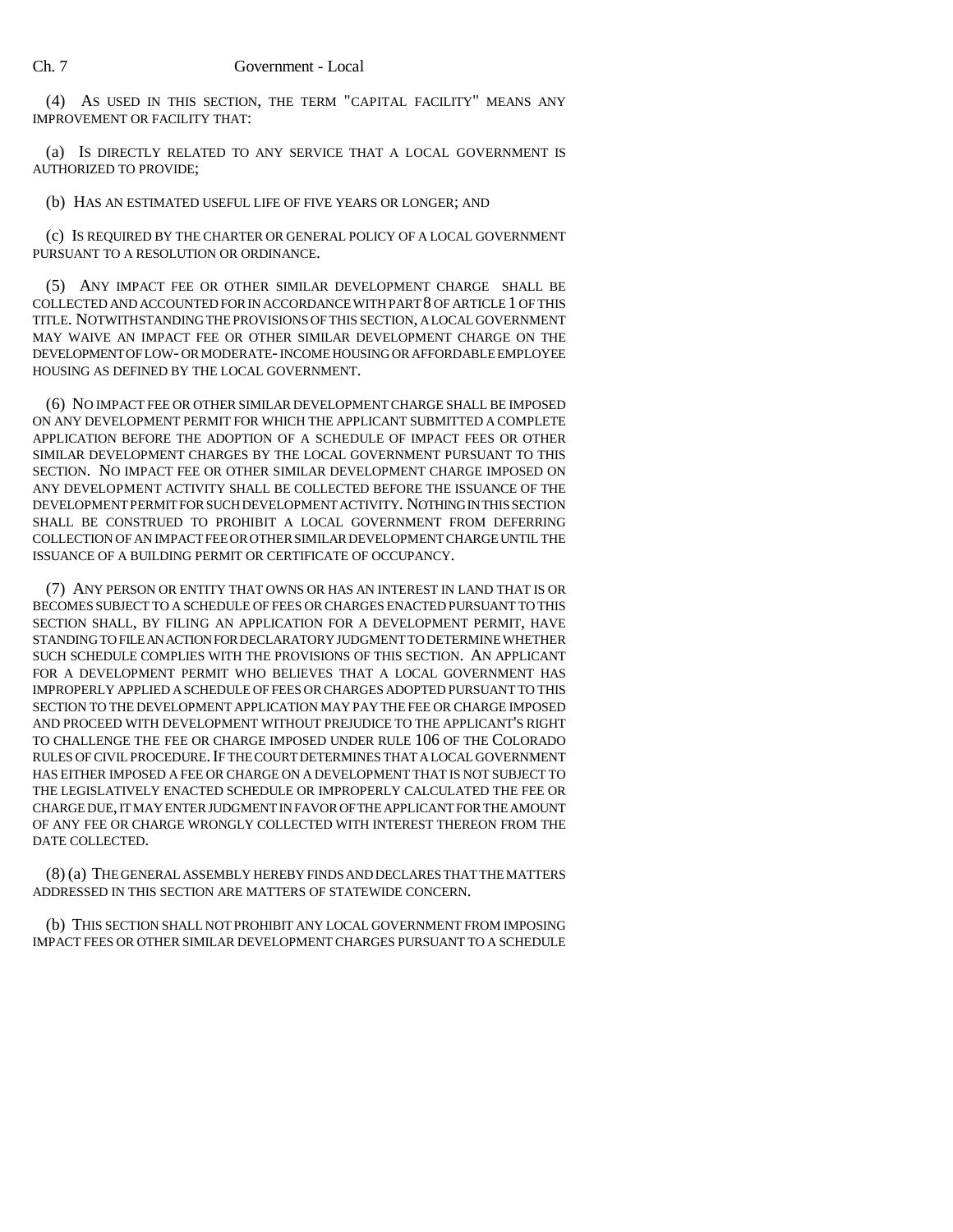(4) AS USED IN THIS SECTION, THE TERM "CAPITAL FACILITY" MEANS ANY IMPROVEMENT OR FACILITY THAT:

(a) IS DIRECTLY RELATED TO ANY SERVICE THAT A LOCAL GOVERNMENT IS AUTHORIZED TO PROVIDE;

(b) HAS AN ESTIMATED USEFUL LIFE OF FIVE YEARS OR LONGER; AND

(c) IS REQUIRED BY THE CHARTER OR GENERAL POLICY OF A LOCAL GOVERNMENT PURSUANT TO A RESOLUTION OR ORDINANCE.

(5) ANY IMPACT FEE OR OTHER SIMILAR DEVELOPMENT CHARGE SHALL BE COLLECTED AND ACCOUNTED FOR IN ACCORDANCE WITH PART 8 OF ARTICLE 1 OF THIS TITLE. NOTWITHSTANDING THE PROVISIONS OF THIS SECTION, A LOCAL GOVERNMENT MAY WAIVE AN IMPACT FEE OR OTHER SIMILAR DEVELOPMENT CHARGE ON THE DEVELOPMENT OF LOW- OR MODERATE- INCOME HOUSING OR AFFORDABLE EMPLOYEE HOUSING AS DEFINED BY THE LOCAL GOVERNMENT.

(6) NO IMPACT FEE OR OTHER SIMILAR DEVELOPMENT CHARGE SHALL BE IMPOSED ON ANY DEVELOPMENT PERMIT FOR WHICH THE APPLICANT SUBMITTED A COMPLETE APPLICATION BEFORE THE ADOPTION OF A SCHEDULE OF IMPACT FEES OR OTHER SIMILAR DEVELOPMENT CHARGES BY THE LOCAL GOVERNMENT PURSUANT TO THIS SECTION. NO IMPACT FEE OR OTHER SIMILAR DEVELOPMENT CHARGE IMPOSED ON ANY DEVELOPMENT ACTIVITY SHALL BE COLLECTED BEFORE THE ISSUANCE OF THE DEVELOPMENT PERMIT FOR SUCH DEVELOPMENT ACTIVITY. NOTHING IN THIS SECTION SHALL BE CONSTRUED TO PROHIBIT A LOCAL GOVERNMENT FROM DEFERRING COLLECTION OF AN IMPACT FEE OR OTHER SIMILAR DEVELOPMENT CHARGE UNTIL THE ISSUANCE OF A BUILDING PERMIT OR CERTIFICATE OF OCCUPANCY.

(7) ANY PERSON OR ENTITY THAT OWNS OR HAS AN INTEREST IN LAND THAT IS OR BECOMES SUBJECT TO A SCHEDULE OF FEES OR CHARGES ENACTED PURSUANT TO THIS SECTION SHALL, BY FILING AN APPLICATION FOR A DEVELOPMENT PERMIT, HAVE STANDING TO FILE AN ACTION FOR DECLARATORY JUDGMENT TO DETERMINE WHETHER SUCH SCHEDULE COMPLIES WITH THE PROVISIONS OF THIS SECTION. AN APPLICANT FOR A DEVELOPMENT PERMIT WHO BELIEVES THAT A LOCAL GOVERNMENT HAS IMPROPERLY APPLIED A SCHEDULE OF FEES OR CHARGES ADOPTED PURSUANT TO THIS SECTION TO THE DEVELOPMENT APPLICATION MAY PAY THE FEE OR CHARGE IMPOSED AND PROCEED WITH DEVELOPMENT WITHOUT PREJUDICE TO THE APPLICANT'S RIGHT TO CHALLENGE THE FEE OR CHARGE IMPOSED UNDER RULE 106 OF THE COLORADO RULES OF CIVIL PROCEDURE.IF THE COURT DETERMINES THAT A LOCAL GOVERNMENT HAS EITHER IMPOSED A FEE OR CHARGE ON A DEVELOPMENT THAT IS NOT SUBJECT TO THE LEGISLATIVELY ENACTED SCHEDULE OR IMPROPERLY CALCULATED THE FEE OR CHARGE DUE, IT MAY ENTER JUDGMENT IN FAVOR OF THE APPLICANT FOR THE AMOUNT OF ANY FEE OR CHARGE WRONGLY COLLECTED WITH INTEREST THEREON FROM THE DATE COLLECTED.

(8) (a) THE GENERAL ASSEMBLY HEREBY FINDS AND DECLARES THAT THE MATTERS ADDRESSED IN THIS SECTION ARE MATTERS OF STATEWIDE CONCERN.

(b) THIS SECTION SHALL NOT PROHIBIT ANY LOCAL GOVERNMENT FROM IMPOSING IMPACT FEES OR OTHER SIMILAR DEVELOPMENT CHARGES PURSUANT TO A SCHEDULE